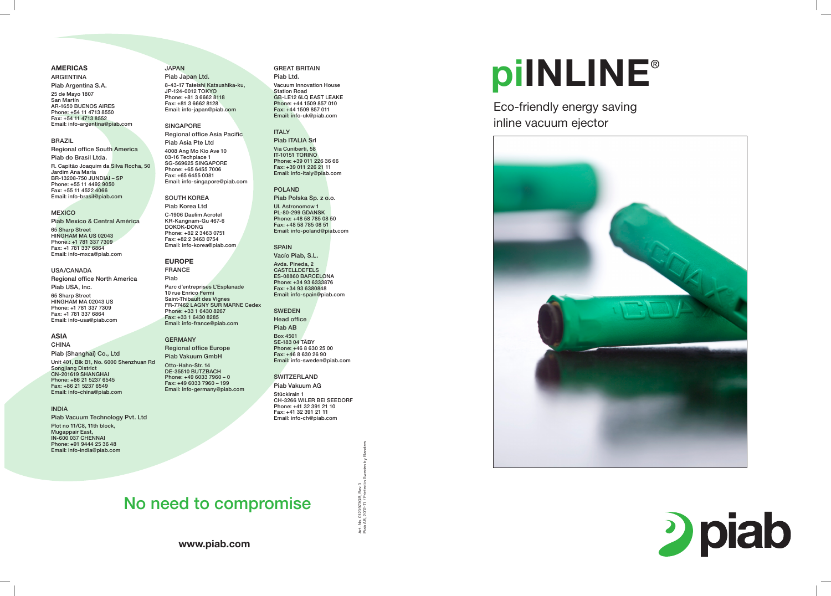www.piab.com





# 2 piab

## Piab AB, 2012-11 / Printed in Sweden by Elanders Art. No. 0123973GB, Rev.3 Art. No. 0123973GB, I<br>Piab AB, 2012-11 / Pri

#### AMERICAS

#### ARGENTINA Piab Argentina S.A.

25 de Mayo 1807 San Martín AR-1650 BUENOS AIRES Phone: +54 11 4713 8550 Fax: +54 11 4713 8552 Email: info-argentina@piab.com

#### BRAZIL

Regional office South America Piab do Brasil Ltda.

R. Capitão Joaquim da Silva Rocha, 50 Jardim Ana Maria BR-13208-750 JUNDIAI – SP Phone: +55 11 4492 9050 Fax: +55 11 4522 4066 Email: info-brasil@piab.com

#### **MEXICO**

Piab Mexico & Central América

65 Sharp Street HINGHAM MA US 02043 Phone.: +1 781 337 7309 Fax: +1 781 337 6864 Email: info-mxca@piab.com

#### USA/CANADA

Regional office North America

Piab USA, Inc.

65 Sharp Street HINGHAM MA 02043 US Phone: +1 781 337 7309 Fax: +1 781 337 6864 Email: info-usa@piab.com

#### ASIA

CHINA

Piab (Shanghai) Co., Ltd Unit 401, Blk B1, No. 6000 Shenzhuan Rd Songjiang District CN-201619 SHANGHAI Phone: +86 21 5237 6545 Fax: +86 21 5237 6549 Email: info-china@piab.com

#### INDIA

Piab Vacuum Technology Pvt. Ltd Plot no 11/C8, 11th block, Mugappair East, IN-600 037 CHENNAI Phone: +91 9444 25 36 48 Email: info-india@piab.com

#### JAPAN

Piab Japan Ltd. 8-43-17 Tateishi Katsushika-ku, JP-124-0012 TOKYO Phone: +81 3 6662 8118 Fax: +81 3 6662 8128 Email: info-japan@piab.com

#### SINGAPORE

Regional office Asia Pacific Piab Asia Pte Ltd

4008 Ang Mo Kio Ave 10 03-16 Techplace 1 SG-569625 SINGAPORE Phone: +65 6455 7006 Fax: +65 6455 0081 Email: info-singapore@piab.com

SOUTH KOREA Piab Korea Ltd C-1906 Daelim Acrotel KR-Kangnam-Gu 467-6 DOKOK-DONG Phone: +82 2 3463 0751 Fax: +82 2 3463 0754 Email: info-korea@piab.com

### EUROPE

FRANCE Piab Parc d'entreprises L'Esplanade 10 rue Enrico Fermi Saint-Thibault des Vignes FR-77462 LAGNY SUR MARNE Cedex Phone: +33 1 6430 8267 Fax: +33 1 6430 8285 Email: info-france@piab.com

#### GERMANY

Regional office Europe Piab Vakuum GmbH

Otto-Hahn-Str. 14 DE-35510 BUTZBACH Phone: +49 6033 7960 – 0 Fax: +49 6033 7960 – 199 Email: info-germany@piab.com

#### GREAT BRITAIN

Piab Ltd. Vacuum Innovation House Station Road GB-LE12 6LQ EAST LEAKE Phone: +44 1509 857 010 Fax: +44 1509 857 011 Email: info-uk@piab.com

### ITALY

Piab ITALIA Srl Via Cuniberti, 58 IT-10151 TORINO Phone: +39 011 226 36 66 Fax: +39 011 226 21 11 Email: info-italy@piab.com

#### POLAND Piab Polska Sp. z o.o.

Ul. Astronomow 1 PL-80-299 GDANSK Phone: +48 58 785 08 50 Fax: +48 58 785 08 51 Email: info-poland@piab.com

#### SPAIN Vacío Piab, S.L.

Avda. Pineda, 2 **CASTELLDEFELS** ES-08860 BARCELONA Phone: +34 93 6333876 Fax: +34 93 6380848 Email: info-spain@piab.com

#### SWEDEN Head office

Piab AB Box 4501

SE-183 04 TÄBY Phone: +46 8 630 25 00 Fax: +46 8 630 26 90 Email: info-sweden@piab.com

**SWITZERLAND** 

Piab Vakuum AG Stückirain 1

CH-3266 WILER BEI SEEDORF Phone: +41 32 391 21 10 Fax: +41 32 391 21 11 Email: info-ch@piab.com

Eco-friendly energy saving inline vacuum ejector



## No need to compromise

# piINLINE ®